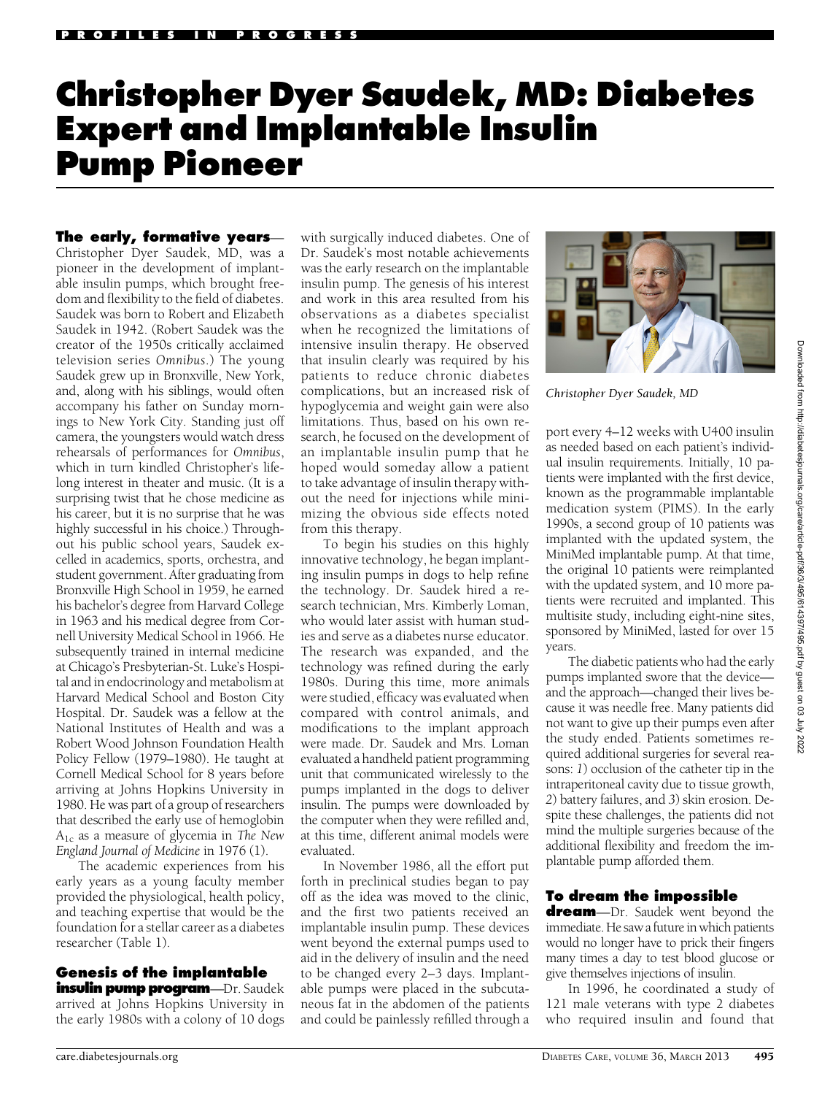# Christopher Dyer Saudek, MD: Diabetes Expert and Implantable Insulin Pump Pioneer

The early, formative years— Christopher Dyer Saudek, MD, was a pioneer in the development of implantable insulin pumps, which brought freedom and flexibility to the field of diabetes. Saudek was born to Robert and Elizabeth Saudek in 1942. (Robert Saudek was the creator of the 1950s critically acclaimed television series Omnibus.) The young Saudek grew up in Bronxville, New York, and, along with his siblings, would often accompany his father on Sunday mornings to New York City. Standing just off camera, the youngsters would watch dress rehearsals of performances for Omnibus, which in turn kindled Christopher's lifelong interest in theater and music. (It is a surprising twist that he chose medicine as his career, but it is no surprise that he was highly successful in his choice.) Throughout his public school years, Saudek excelled in academics, sports, orchestra, and student government. After graduating from Bronxville High School in 1959, he earned his bachelor's degree from Harvard College in 1963 and his medical degree from Cornell University Medical School in 1966. He subsequently trained in internal medicine at Chicago's Presbyterian-St. Luke's Hospital and in endocrinology and metabolism at Harvard Medical School and Boston City Hospital. Dr. Saudek was a fellow at the National Institutes of Health and was a Robert Wood Johnson Foundation Health Policy Fellow (1979–1980). He taught at Cornell Medical School for 8 years before arriving at Johns Hopkins University in 1980. He was part of a group of researchers that described the early use of hemoglobin  $A_{1c}$  as a measure of glycemia in The New England Journal of Medicine in 1976 (1).

The academic experiences from his early years as a young faculty member provided the physiological, health policy, and teaching expertise that would be the foundation for a stellar career as a diabetes researcher (Table 1).

# Genesis of the implantable

insulin pump program—Dr. Saudek arrived at Johns Hopkins University in the early 1980s with a colony of 10 dogs

with surgically induced diabetes. One of Dr. Saudek's most notable achievements was the early research on the implantable insulin pump. The genesis of his interest and work in this area resulted from his observations as a diabetes specialist when he recognized the limitations of intensive insulin therapy. He observed that insulin clearly was required by his patients to reduce chronic diabetes complications, but an increased risk of hypoglycemia and weight gain were also limitations. Thus, based on his own research, he focused on the development of an implantable insulin pump that he hoped would someday allow a patient to take advantage of insulin therapy without the need for injections while minimizing the obvious side effects noted from this therapy.

To begin his studies on this highly innovative technology, he began implanting insulin pumps in dogs to help refine the technology. Dr. Saudek hired a research technician, Mrs. Kimberly Loman, who would later assist with human studies and serve as a diabetes nurse educator. The research was expanded, and the technology was refined during the early 1980s. During this time, more animals were studied, efficacy was evaluated when compared with control animals, and modifications to the implant approach were made. Dr. Saudek and Mrs. Loman evaluated a handheld patient programming unit that communicated wirelessly to the pumps implanted in the dogs to deliver insulin. The pumps were downloaded by the computer when they were refilled and, at this time, different animal models were evaluated.

In November 1986, all the effort put forth in preclinical studies began to pay off as the idea was moved to the clinic, and the first two patients received an implantable insulin pump. These devices went beyond the external pumps used to aid in the delivery of insulin and the need to be changed every 2–3 days. Implantable pumps were placed in the subcutaneous fat in the abdomen of the patients and could be painlessly refilled through a



Christopher Dyer Saudek, MD

port every 4–12 weeks with U400 insulin as needed based on each patient's individual insulin requirements. Initially, 10 patients were implanted with the first device, known as the programmable implantable medication system (PIMS). In the early 1990s, a second group of 10 patients was implanted with the updated system, the MiniMed implantable pump. At that time, the original 10 patients were reimplanted with the updated system, and 10 more patients were recruited and implanted. This multisite study, including eight-nine sites, sponsored by MiniMed, lasted for over 15 years.

The diabetic patients who had the early pumps implanted swore that the device and the approach—changed their lives because it was needle free. Many patients did not want to give up their pumps even after the study ended. Patients sometimes required additional surgeries for several reasons: 1) occlusion of the catheter tip in the intraperitoneal cavity due to tissue growth, 2) battery failures, and 3) skin erosion. Despite these challenges, the patients did not mind the multiple surgeries because of the additional flexibility and freedom the implantable pump afforded them.

# To dream the impossible

**dream**—Dr. Saudek went beyond the immediate. He saw a future in which patients would no longer have to prick their fingers many times a day to test blood glucose or give themselves injections of insulin.

In 1996, he coordinated a study of 121 male veterans with type 2 diabetes who required insulin and found that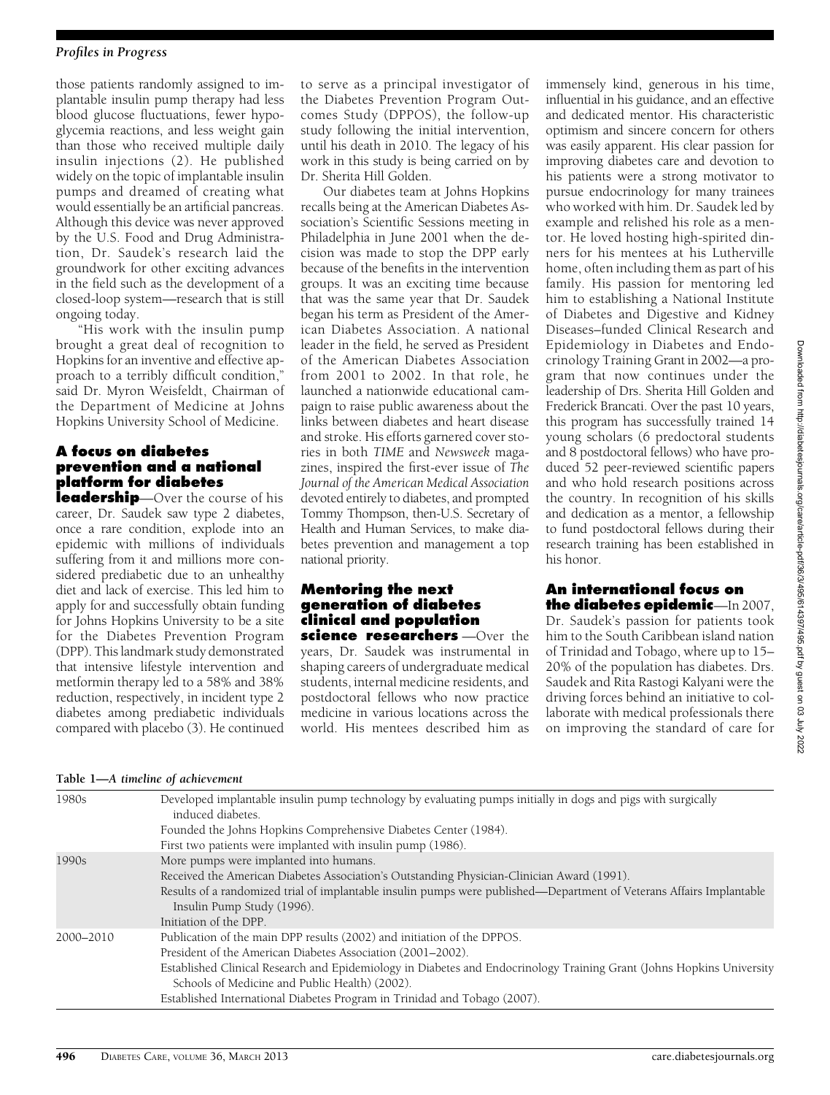### Profiles in Progress

those patients randomly assigned to implantable insulin pump therapy had less blood glucose fluctuations, fewer hypoglycemia reactions, and less weight gain than those who received multiple daily insulin injections (2). He published widely on the topic of implantable insulin pumps and dreamed of creating what would essentially be an artificial pancreas. Although this device was never approved by the U.S. Food and Drug Administration, Dr. Saudek's research laid the groundwork for other exciting advances in the field such as the development of a closed-loop system—research that is still ongoing today.

"His work with the insulin pump brought a great deal of recognition to Hopkins for an inventive and effective approach to a terribly difficult condition," said Dr. Myron Weisfeldt, Chairman of the Department of Medicine at Johns Hopkins University School of Medicine.

# A focus on diabetes prevention and a national platform for diabetes

leadership—Over the course of his career, Dr. Saudek saw type 2 diabetes, once a rare condition, explode into an epidemic with millions of individuals suffering from it and millions more considered prediabetic due to an unhealthy diet and lack of exercise. This led him to apply for and successfully obtain funding for Johns Hopkins University to be a site for the Diabetes Prevention Program (DPP). This landmark study demonstrated that intensive lifestyle intervention and metformin therapy led to a 58% and 38% reduction, respectively, in incident type 2 diabetes among prediabetic individuals compared with placebo (3). He continued

to serve as a principal investigator of the Diabetes Prevention Program Outcomes Study (DPPOS), the follow-up study following the initial intervention, until his death in 2010. The legacy of his work in this study is being carried on by Dr. Sherita Hill Golden.

Our diabetes team at Johns Hopkins recalls being at the American Diabetes Association's Scientific Sessions meeting in Philadelphia in June 2001 when the decision was made to stop the DPP early because of the benefits in the intervention groups. It was an exciting time because that was the same year that Dr. Saudek began his term as President of the American Diabetes Association. A national leader in the field, he served as President of the American Diabetes Association from 2001 to 2002. In that role, he launched a nationwide educational campaign to raise public awareness about the links between diabetes and heart disease and stroke. His efforts garnered cover stories in both TIME and Newsweek magazines, inspired the first-ever issue of The Journal of the American Medical Association devoted entirely to diabetes, and prompted Tommy Thompson, then-U.S. Secretary of Health and Human Services, to make diabetes prevention and management a top national priority.

# Mentoring the next generation of diabetes clinical and population

science researchers - Over the years, Dr. Saudek was instrumental in shaping careers of undergraduate medical students, internal medicine residents, and postdoctoral fellows who now practice medicine in various locations across the world. His mentees described him as immensely kind, generous in his time, influential in his guidance, and an effective and dedicated mentor. His characteristic optimism and sincere concern for others was easily apparent. His clear passion for improving diabetes care and devotion to his patients were a strong motivator to pursue endocrinology for many trainees who worked with him. Dr. Saudek led by example and relished his role as a mentor. He loved hosting high-spirited dinners for his mentees at his Lutherville home, often including them as part of his family. His passion for mentoring led him to establishing a National Institute of Diabetes and Digestive and Kidney Diseases–funded Clinical Research and Epidemiology in Diabetes and Endocrinology Training Grant in 2002—a program that now continues under the leadership of Drs. Sherita Hill Golden and Frederick Brancati. Over the past 10 years, this program has successfully trained 14 young scholars (6 predoctoral students and 8 postdoctoral fellows) who have produced 52 peer-reviewed scientific papers and who hold research positions across the country. In recognition of his skills and dedication as a mentor, a fellowship to fund postdoctoral fellows during their research training has been established in his honor.

## An international focus on the diabetes epidemic—In 2007,

Dr. Saudek's passion for patients took him to the South Caribbean island nation of Trinidad and Tobago, where up to 15– 20% of the population has diabetes. Drs. Saudek and Rita Rastogi Kalyani were the driving forces behind an initiative to collaborate with medical professionals there on improving the standard of care for

|  |  | Table 1-A timeline of achievement |
|--|--|-----------------------------------|
|  |  |                                   |

| 1980s     | Developed implantable insulin pump technology by evaluating pumps initially in dogs and pigs with surgically<br>induced diabetes.                                            |  |  |  |  |
|-----------|------------------------------------------------------------------------------------------------------------------------------------------------------------------------------|--|--|--|--|
|           | Founded the Johns Hopkins Comprehensive Diabetes Center (1984).                                                                                                              |  |  |  |  |
|           | First two patients were implanted with insulin pump (1986).                                                                                                                  |  |  |  |  |
| 1990s     | More pumps were implanted into humans.                                                                                                                                       |  |  |  |  |
|           | Received the American Diabetes Association's Outstanding Physician-Clinician Award (1991).                                                                                   |  |  |  |  |
|           | Results of a randomized trial of implantable insulin pumps were published—Department of Veterans Affairs Implantable<br>Insulin Pump Study (1996).<br>Initiation of the DPP. |  |  |  |  |
| 2000–2010 | Publication of the main DPP results (2002) and initiation of the DPPOS.                                                                                                      |  |  |  |  |
|           | President of the American Diabetes Association (2001–2002).                                                                                                                  |  |  |  |  |
|           | Established Clinical Research and Epidemiology in Diabetes and Endocrinology Training Grant (Johns Hopkins University<br>Schools of Medicine and Public Health) (2002).      |  |  |  |  |
|           | Established International Diabetes Program in Trinidad and Tobago (2007).                                                                                                    |  |  |  |  |